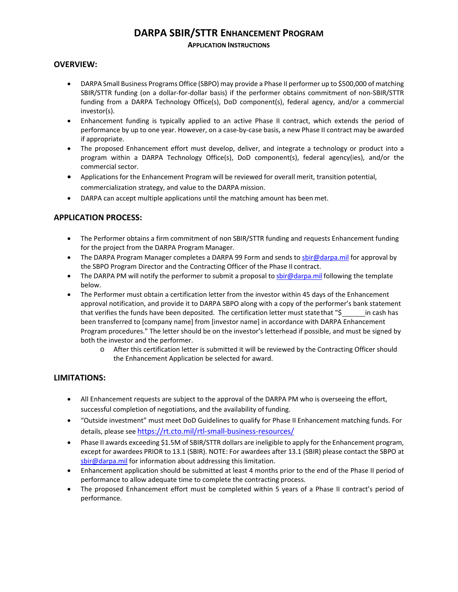# **DARPA SBIR/STTR ENHANCEMENT PROGRAM**

## **APPLICATION INSTRUCTIONS**

## **OVERVIEW:**

- DARPA Small Business Programs Office (SBPO) may provide a Phase II performer up to \$500,000 of matching SBIR/STTR funding (on a dollar-for-dollar basis) if the performer obtains commitment of non-SBIR/STTR funding from a DARPA Technology Office(s), DoD component(s), federal agency, and/or a commercial investor(s).
- Enhancement funding is typically applied to an active Phase II contract, which extends the period of performance by up to one year. However, on a case-by-case basis, a new Phase II contract may be awarded if appropriate.
- The proposed Enhancement effort must develop, deliver, and integrate a technology or product into a program within a DARPA Technology Office(s), DoD component(s), federal agency(ies), and/or the commercial sector.
- Applications for the Enhancement Program will be reviewed for overall merit, transition potential, commercialization strategy, and value to the DARPA mission.
- DARPA can accept multiple applications until the matching amount has been met.

# **APPLICATION PROCESS:**

- The Performer obtains a firm commitment of non SBIR/STTR funding and requests Enhancement funding for the project from the DARPA Program Manager.
- The DARPA Program Manager completes a DARPA 99 Form and sends to [sbir@darpa.mil](mailto:sbir@darpa.mil) for approval by the SBPO Program Director and the Contracting Officer of the Phase II contract.
- The DARPA PM will notify the performer to submit a proposal t[o sbir@darpa.mil](mailto:sbir@darpa.mil) following the template below.
- The Performer must obtain a certification letter from the investor within 45 days of the Enhancement approval notification, and provide it to DARPA SBPO along with a copy of the performer's bank statement that verifies the funds have been deposited. The certification letter must state that "\$ in cash has been transferred to [company name] from [investor name] in accordance with DARPA Enhancement Program procedures." The letter should be on the investor's letterhead if possible, and must be signed by both the investor and the performer.
	- o After this certification letter is submitted it will be reviewed by the Contracting Officer should the Enhancement Application be selected for award.

## **LIMITATIONS:**

- All Enhancement requests are subject to the approval of the DARPA PM who is overseeing the effort, successful completion of negotiations, and the availability of funding.
- "Outside investment" must meet DoD Guidelines to qualify for Phase II Enhancement matching funds. For details, please see <https://rt.cto.mil/rtl-small-business-resources/>
- Phase II awards exceeding \$1.5M of SBIR/STTR dollars are ineligible to apply for the Enhancement program, except for awardees PRIOR to 13.1 (SBIR). NOTE: For awardees after 13.1 (SBIR) please contact the SBPO at [sbir@darpa.mil](mailto:sbir@darpa.mil) for information about addressing this limitation.
- Enhancement application should be submitted at least 4 months prior to the end of the Phase II period of performance to allow adequate time to complete the contracting process.
- The proposed Enhancement effort must be completed within 5 years of a Phase II contract's period of performance.